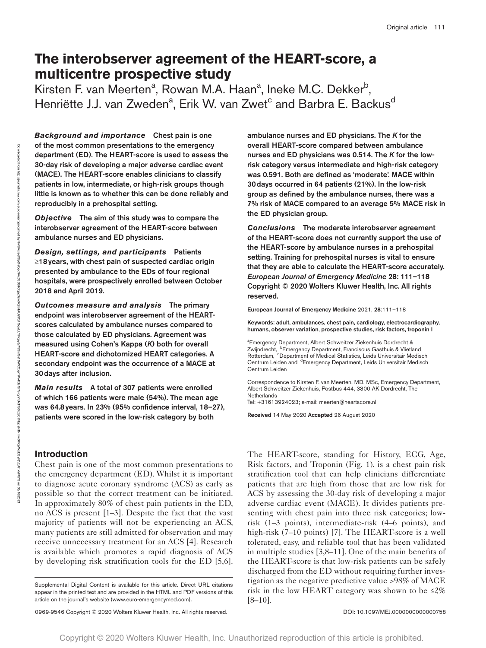# **The interobserver agreement of the HEART-score, a multicentre prospective study**

Kirsten F. van Meerten<sup>a</sup>, Rowan M.A. Haan<sup>a</sup>, Ineke M.C. Dekker<sup>b</sup>, Henriëtte J.J. van Zweden<sup>a</sup>, Erik W. van Zwet<sup>c</sup> and Barbra E. Backus<sup>d</sup>

*Background and importance* Chest pain is one of the most common presentations to the emergency department (ED). The HEART-score is used to assess the 30-day risk of developing a major adverse cardiac event (MACE). The HEART-score enables clinicians to classify patients in low, intermediate, or high-risk groups though little is known as to whether this can be done reliably and reproducibly in a prehospital setting.

*Objective* The aim of this study was to compare the interobserver agreement of the HEART-score between ambulance nurses and ED physicians.

*Design, settings, and participants* Patients ≥18years, with chest pain of suspected cardiac origin presented by ambulance to the EDs of four regional hospitals, were prospectively enrolled between October 2018 and April 2019.

*Outcomes measure and analysis* The primary endpoint was interobserver agreement of the HEARTscores calculated by ambulance nurses compared to those calculated by ED physicians. Agreement was measured using Cohen's Kappa (*K*) both for overall HEART-score and dichotomized HEART categories. A secondary endpoint was the occurrence of a MACE at 30days after inclusion.

*Main results* A total of 307 patients were enrolled of which 166 patients were male (54%). The mean age was 64.8years. In 23% (95% confidence interval, 18–27), patients were scored in the low-risk category by both

# **Introduction**

Chest pain is one of the most common presentations to the emergency department (ED). Whilst it is important to diagnose acute coronary syndrome (ACS) as early as possible so that the correct treatment can be initiated. In approximately 80% of chest pain patients in the ED, no ACS is present [1–3]. Despite the fact that the vast majority of patients will not be experiencing an ACS, many patients are still admitted for observation and may receive unnecessary treatment for an ACS [4]. Research is available which promotes a rapid diagnosis of ACS by developing risk stratification tools for the ED [5,6].

0969-9546 Copyright © 2020 Wolters Kluwer Health, Inc. All rights reserved. <br>
00969-9546 Copyright © 2020 Wolters Kluwer Health, Inc. All rights reserved.

ambulance nurses and ED physicians. The *K* for the overall HEART-score compared between ambulance nurses and ED physicians was 0.514. The *K* for the lowrisk category versus intermediate and high-risk category was 0.591. Both are defined as 'moderate'. MACE within 30days occurred in 64 patients (21%). In the low-risk group as defined by the ambulance nurses, there was a 7% risk of MACE compared to an average 5% MACE risk in the ED physician group.

*Conclusions* The moderate interobserver agreement of the HEART-score does not currently support the use of the HEART-score by ambulance nurses in a prehospital setting. Training for prehospital nurses is vital to ensure that they are able to calculate the HEART-score accurately. *European Journal of Emergency Medicine* 28: 111–118 Copyright © 2020 Wolters Kluwer Health, Inc. All rights reserved.

European Journal of Emergency Medicine 2021, 28:111–118

Keywords: adult, ambulances, chest pain, cardiology, electrocardiography, humans, observer variation, prospective studies, risk factors, troponin I

a Emergency Department, Albert Schweitzer Ziekenhuis Dordrecht & Zwijndrecht, <sup>b</sup>Emergency Department, Franciscus Gasthuis & Vlietland Rotterdam, <sup>c</sup>Department of Medical Statistics, Leids Universitair Medisch Centrum Leiden and dEmergency Department, Leids Universitair Medisch Centrum Leiden

Correspondence to Kirsten F. van Meerten, MD, MSc, Emergency Department, Albert Schweitzer Ziekenhuis, Postbus 444, 3300 AK Dordrecht, The **Netherlands** Tel: +31613924023; e-mail: [meerten@heartscore.nl](mailto:meerten@heartscore.nl)

Received 14 May 2020 Accepted 26 August 2020

The HEART-score, standing for History, ECG, Age, Risk factors, and Troponin (Fig. 1), is a chest pain risk stratification tool that can help clinicians differentiate patients that are high from those that are low risk for ACS by assessing the 30-day risk of developing a major adverse cardiac event (MACE). It divides patients presenting with chest pain into three risk categories; lowrisk (1–3 points), intermediate-risk (4–6 points), and high-risk (7–10 points) [7]. The HEART-score is a well tolerated, easy, and reliable tool that has been validated in multiple studies [3,8–11]. One of the main benefits of the HEART-score is that low-risk patients can be safely discharged from the ED without requiring further investigation as the negative predictive value >98% of MACE risk in the low HEART category was shown to be  $\leq 2\%$ [8–10].

on 03/18/2021

Downloaded from

http://journals.lww.com/euro-emergencymed

হ

tlw9lVxisetSIpDsCqq9Vx39DtHOqzg3zwXQrjHAUs9Q7GqwLLYPcpy8/79SyiGs18WXCxpTKV4/daGI7slcyYiUcTfSSjdzC7NzgsN1Nmw0MQWodd3yRjVpAhxhFX7S

Supplemental Digital Content is available for this article. Direct URL citations appear in the printed text and are provided in the HTML and PDF versions of this article on the journal's website (<www.euro-emergencymed.com>).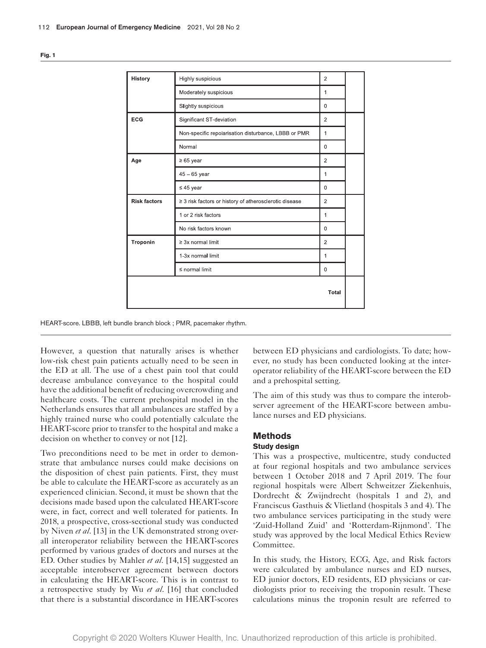| History             | Highly suspicious                                      | $\overline{2}$ |  |
|---------------------|--------------------------------------------------------|----------------|--|
|                     | Moderately suspicious                                  | $\mathbf{1}$   |  |
|                     | Slightly suspicious                                    | $\mathbf 0$    |  |
| <b>ECG</b>          | Significant ST-deviation                               | 2              |  |
|                     | Non-specific repolarisation disturbance, LBBB or PMR   | 1              |  |
|                     | Normal                                                 | $\mathbf 0$    |  |
| Age                 | $\geq 65$ year                                         | $\overline{2}$ |  |
|                     | $45 - 65$ year                                         | 1              |  |
|                     | $\leq 45$ year                                         | 0              |  |
| <b>Risk factors</b> | ≥ 3 risk factors or history of atherosclerotic disease | $\overline{2}$ |  |
|                     | 1 or 2 risk factors                                    | 1              |  |
|                     | No risk factors known                                  | 0              |  |
| Troponin            | $\geq 3x$ normal limit                                 | 2              |  |
|                     | 1-3x normal limit                                      | 1              |  |
|                     | $\leq$ normal limit                                    | $\mathbf 0$    |  |
|                     |                                                        | Total          |  |

HEART-score. LBBB, left bundle branch block ; PMR, pacemaker rhythm.

However, a question that naturally arises is whether low-risk chest pain patients actually need to be seen in the ED at all. The use of a chest pain tool that could decrease ambulance conveyance to the hospital could have the additional benefit of reducing overcrowding and healthcare costs. The current prehospital model in the Netherlands ensures that all ambulances are staffed by a highly trained nurse who could potentially calculate the HEART-score prior to transfer to the hospital and make a decision on whether to convey or not [12].

Two preconditions need to be met in order to demonstrate that ambulance nurses could make decisions on the disposition of chest pain patients. First, they must be able to calculate the HEART-score as accurately as an experienced clinician. Second, it must be shown that the decisions made based upon the calculated HEART-score were, in fact, correct and well tolerated for patients. In 2018, a prospective, cross-sectional study was conducted by Niven *et al*. [13] in the UK demonstrated strong overall interoperator reliability between the HEART-scores performed by various grades of doctors and nurses at the ED. Other studies by Mahler *et al*. [14,15] suggested an acceptable interobserver agreement between doctors in calculating the HEART-score. This is in contrast to a retrospective study by Wu *et al*. [16] that concluded that there is a substantial discordance in HEART-scores between ED physicians and cardiologists. To date; however, no study has been conducted looking at the interoperator reliability of the HEART-score between the ED and a prehospital setting.

The aim of this study was thus to compare the interobserver agreement of the HEART-score between ambulance nurses and ED physicians.

# **Methods**

## **Study design**

This was a prospective, multicentre, study conducted at four regional hospitals and two ambulance services between 1 October 2018 and 7 April 2019. The four regional hospitals were Albert Schweitzer Ziekenhuis, Dordrecht & Zwijndrecht (hospitals 1 and 2), and Franciscus Gasthuis & Vlietland (hospitals 3 and 4). The two ambulance services participating in the study were 'Zuid-Holland Zuid' and 'Rotterdam-Rijnmond'. The study was approved by the local Medical Ethics Review Committee.

In this study, the History, ECG, Age, and Risk factors were calculated by ambulance nurses and ED nurses, ED junior doctors, ED residents, ED physicians or cardiologists prior to receiving the troponin result. These calculations minus the troponin result are referred to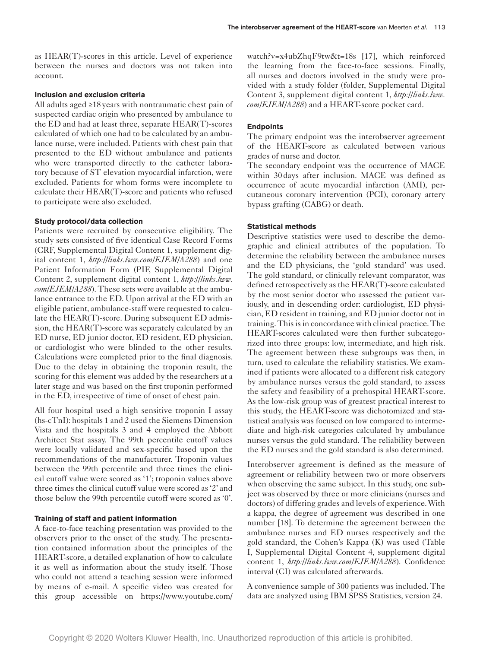as HEAR(T)-scores in this article. Level of experience between the nurses and doctors was not taken into account.

# **Inclusion and exclusion criteria**

All adults aged ≥18 years with nontraumatic chest pain of suspected cardiac origin who presented by ambulance to the ED and had at least three, separate HEAR(T)-scores calculated of which one had to be calculated by an ambulance nurse, were included. Patients with chest pain that presented to the ED without ambulance and patients who were transported directly to the catheter laboratory because of ST elevation myocardial infarction, were excluded. Patients for whom forms were incomplete to calculate their HEAR(T)-score and patients who refused to participate were also excluded.

# **Study protocol/data collection**

Patients were recruited by consecutive eligibility. The study sets consisted of five identical Case Record Forms (CRF, Supplemental Digital Content 1, supplement digital content 1, *<http://links.lww.com/EJEM/A288>*) and one Patient Information Form (PIF, Supplemental Digital Content 2, supplement digital content 1, *[http://links.lww.](http://links.lww.com/EJEM/A288) [com/EJEM/A288](http://links.lww.com/EJEM/A288)*). These sets were available at the ambulance entrance to the ED. Upon arrival at the ED with an eligible patient, ambulance-staff were requested to calculate the HEAR(T)-score. During subsequent ED admission, the HEAR(T)-score was separately calculated by an ED nurse, ED junior doctor, ED resident, ED physician, or cardiologist who were blinded to the other results. Calculations were completed prior to the final diagnosis. Due to the delay in obtaining the troponin result, the scoring for this element was added by the researchers at a later stage and was based on the first troponin performed in the ED, irrespective of time of onset of chest pain.

All four hospital used a high sensitive troponin I assay (hs-cTnI): hospitals 1 and 2 used the Siemens Dimension Vista and the hospitals 3 and 4 employed the Abbott Architect Stat assay. The 99th percentile cutoff values were locally validated and sex-specific based upon the recommendations of the manufacturer. Troponin values between the 99th percentile and three times the clinical cutoff value were scored as '1'; troponin values above three times the clinical cutoff value were scored as '2' and those below the 99th percentile cutoff were scored as '0'.

# **Training of staff and patient information**

A face-to-face teaching presentation was provided to the observers prior to the onset of the study. The presentation contained information about the principles of the HEART-score, a detailed explanation of how to calculate it as well as information about the study itself. Those who could not attend a teaching session were informed by means of e-mail. A specific video was created for this group accessible on [https://www.youtube.com/](https://www.youtube.com/watch?v=x4ubZhqF9tw&t=18s)

[watch?v=x4ubZhqF9tw&t=18s](https://www.youtube.com/watch?v=x4ubZhqF9tw&t=18s) [17], which reinforced the learning from the face-to-face sessions. Finally, all nurses and doctors involved in the study were provided with a study folder (folder, Supplemental Digital Content 3, supplement digital content 1, *[http://links.lww.](http://links.lww.com/EJEM/A288) [com/EJEM/A288](http://links.lww.com/EJEM/A288)*) and a HEART-score pocket card.

# **Endpoints**

The primary endpoint was the interobserver agreement of the HEART-score as calculated between various grades of nurse and doctor.

The secondary endpoint was the occurrence of MACE within 30days after inclusion. MACE was defined as occurrence of acute myocardial infarction (AMI), percutaneous coronary intervention (PCI), coronary artery bypass grafting (CABG) or death.

## **Statistical methods**

Descriptive statistics were used to describe the demographic and clinical attributes of the population. To determine the reliability between the ambulance nurses and the ED physicians, the 'gold standard' was used. The gold standard, or clinically relevant comparator, was defined retrospectively as the HEAR(T)-score calculated by the most senior doctor who assessed the patient variously, and in descending order: cardiologist, ED physician, ED resident in training, and ED junior doctor not in training. This is in concordance with clinical practice. The HEART-scores calculated were then further subcategorized into three groups: low, intermediate, and high risk. The agreement between these subgroups was then, in turn, used to calculate the reliability statistics. We examined if patients were allocated to a different risk category by ambulance nurses versus the gold standard, to assess the safety and feasibility of a prehospital HEART-score. As the low-risk group was of greatest practical interest to this study, the HEART-score was dichotomized and statistical analysis was focused on low compared to intermediate and high-risk categories calculated by ambulance nurses versus the gold standard. The reliability between the ED nurses and the gold standard is also determined.

Interobserver agreement is defined as the measure of agreement or reliability between two or more observers when observing the same subject. In this study, one subject was observed by three or more clinicians (nurses and doctors) of differing grades and levels of experience. With a kappa, the degree of agreement was described in one number [18]. To determine the agreement between the ambulance nurses and ED nurses respectively and the gold standard, the Cohen's Kappa (K) was used (Table I, Supplemental Digital Content 4, supplement digital content 1, *<http://links.lww.com/EJEM/A288>*). Confidence interval (CI) was calculated afterwards.

A convenience sample of 300 patients was included. The data are analyzed using IBM SPSS Statistics, version 24.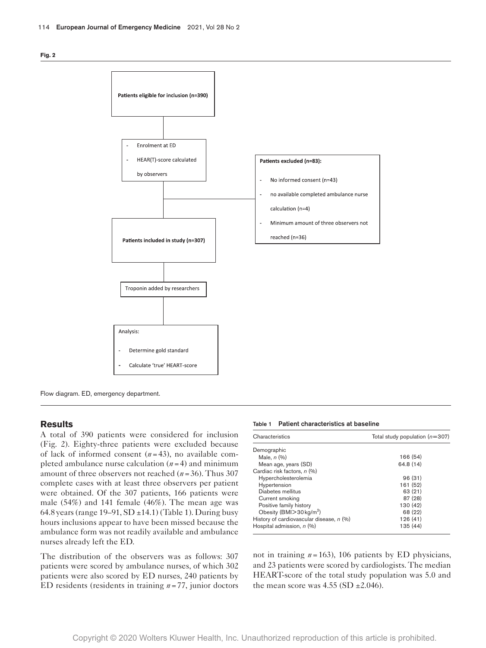

Flow diagram. ED, emergency department.

# **Results**

A total of 390 patients were considered for inclusion (Fig. 2). Eighty-three patients were excluded because of lack of informed consent (*n*=43), no available completed ambulance nurse calculation (*n*=4) and minimum amount of three observers not reached (*n*=36). Thus 307 complete cases with at least three observers per patient were obtained. Of the 307 patients, 166 patients were male (54%) and 141 female (46%). The mean age was 64.8 years (range  $19-91$ , SD  $\pm$ 14.1) (Table 1). During busy hours inclusions appear to have been missed because the ambulance form was not readily available and ambulance nurses already left the ED.

The distribution of the observers was as follows: 307 patients were scored by ambulance nurses, of which 302 patients were also scored by ED nurses, 240 patients by ED residents (residents in training *n*=77, junior doctors

Table 1 Patient characteristics at baseline

| Characteristics                            | Total study population $(n=307)$ |  |  |
|--------------------------------------------|----------------------------------|--|--|
| Demographic                                |                                  |  |  |
| Male, $n$ $(\%)$                           | 166 (54)                         |  |  |
| Mean age, years (SD)                       | 64.8 (14)                        |  |  |
| Cardiac risk factors, n (%)                |                                  |  |  |
| Hypercholesterolemia                       | 96(31)                           |  |  |
| Hypertension                               | 161 (52)                         |  |  |
| Diabetes mellitus                          | 63 (21)                          |  |  |
| Current smoking                            | 87 (28)                          |  |  |
| Positive family history                    | 130 (42)                         |  |  |
| Obesity (BMI $>$ 30 kg/m <sup>2</sup> )    | 68 (22)                          |  |  |
| History of cardiovascular disease, $n$ (%) | 126 (41)                         |  |  |
| Hospital admission, n (%)                  | 135 (44)                         |  |  |

not in training *n*=163), 106 patients by ED physicians, and 23 patients were scored by cardiologists. The median HEART-score of the total study population was 5.0 and the mean score was  $4.55$  (SD  $\pm$ 2.046).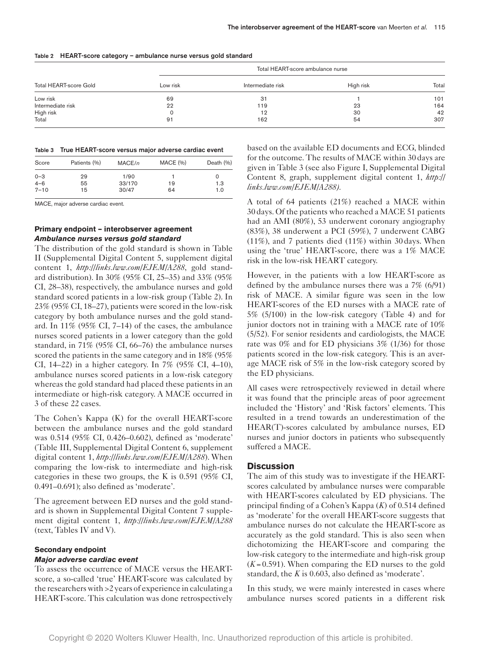|  | Table 2 HEART-score category - ambulance nurse versus gold standard |  |  |
|--|---------------------------------------------------------------------|--|--|
|--|---------------------------------------------------------------------|--|--|

| Total HEART-score Gold | Total HEART-score ambulance nurse |                   |           |       |  |  |
|------------------------|-----------------------------------|-------------------|-----------|-------|--|--|
|                        | Low risk                          | Intermediate risk | High risk | Total |  |  |
| Low risk               | 69                                | 31                |           | 101   |  |  |
| Intermediate risk      | 22                                | 119               | 23        | 164   |  |  |
| High risk              |                                   | 12                | 30        | 42    |  |  |
| Total                  | 91                                | 162               | 54        | 307   |  |  |

#### Table 3 True HEART-score versus major adverse cardiac event

| Score    | Patients (%) | MACE/n | MACE (%) | Death $(\% )$ |
|----------|--------------|--------|----------|---------------|
| $0 - 3$  | 29           | 1/90   |          |               |
| $4 - 6$  | 55           | 33/170 | 19       | 1.3           |
| $7 - 10$ | 15           | 30/47  | 64       | 1.0           |

MACE, major adverse cardiac event.

# **Primary endpoint – interobserver agreement** *Ambulance nurses versus gold standard*

The distribution of the gold standard is shown in Table II (Supplemental Digital Content 5, supplement digital content 1, *<http://links.lww.com/EJEM/A288>*, gold standard distribution). In 30% (95% CI, 25–35) and 33% (95% CI, 28–38), respectively, the ambulance nurses and gold standard scored patients in a low-risk group (Table 2). In 23% (95% CI, 18–27), patients were scored in the low-risk category by both ambulance nurses and the gold standard. In 11% (95% CI, 7–14) of the cases, the ambulance nurses scored patients in a lower category than the gold standard, in 71% (95% CI, 66–76) the ambulance nurses scored the patients in the same category and in 18% (95% CI, 14–22) in a higher category. In 7% (95% CI, 4–10), ambulance nurses scored patients in a low-risk category whereas the gold standard had placed these patients in an intermediate or high-risk category. A MACE occurred in 3 of these 22 cases.

The Cohen's Kappa (K) for the overall HEART-score between the ambulance nurses and the gold standard was 0.514 (95% CI, 0.426–0.602), defined as 'moderate' (Table III, Supplemental Digital Content 6, supplement digital content 1, *<http://links.lww.com/EJEM/A288>*). When comparing the low-risk to intermediate and high-risk categories in these two groups, the K is 0.591 (95% CI, 0.491–0.691); also defined as 'moderate'.

The agreement between ED nurses and the gold standard is shown in Supplemental Digital Content 7 supplement digital content 1, *<http://links.lww.com/EJEM/A288>* (text, Tables IV and V).

## **Secondary endpoint**

#### *Major adverse cardiac event*

To assess the occurrence of MACE versus the HEARTscore, a so-called 'true' HEART-score was calculated by the researchers with >2 years of experience in calculating a HEART-score. This calculation was done retrospectively

based on the available ED documents and ECG, blinded for the outcome. The results of MACE within 30days are given in Table 3 (see also Figure I, Supplemental Digital Content 8, graph, supplement digital content 1, *[http://](http://links.lww.com/EJEM/A288) [links.lww.com/EJEM/A288\)](http://links.lww.com/EJEM/A288).*

A total of 64 patients (21%) reached a MACE within 30days. Of the patients who reached a MACE 51 patients had an AMI (80%), 53 underwent coronary angiography (83%), 38 underwent a PCI (59%), 7 underwent CABG (11%), and 7 patients died (11%) within 30days. When using the 'true' HEART-score, there was a 1% MACE risk in the low-risk HEART category.

However, in the patients with a low HEART-score as defined by the ambulance nurses there was a 7% (6/91) risk of MACE. A similar figure was seen in the low HEART-scores of the ED nurses with a MACE rate of 5% (5/100) in the low-risk category (Table 4) and for junior doctors not in training with a MACE rate of 10% (5/52). For senior residents and cardiologists, the MACE rate was 0% and for ED physicians 3% (1/36) for those patients scored in the low-risk category. This is an average MACE risk of 5% in the low-risk category scored by the ED physicians.

All cases were retrospectively reviewed in detail where it was found that the principle areas of poor agreement included the 'History' and 'Risk factors' elements. This resulted in a trend towards an underestimation of the HEAR(T)-scores calculated by ambulance nurses, ED nurses and junior doctors in patients who subsequently suffered a MACE.

## **Discussion**

The aim of this study was to investigate if the HEARTscores calculated by ambulance nurses were comparable with HEART-scores calculated by ED physicians. The principal finding of a Cohen's Kappa (*K*) of 0.514 defined as 'moderate' for the overall HEART-score suggests that ambulance nurses do not calculate the HEART-score as accurately as the gold standard. This is also seen when dichotomizing the HEART-score and comparing the low-risk category to the intermediate and high-risk group  $(K=0.591)$ . When comparing the ED nurses to the gold standard, the *K* is 0.603, also defined as 'moderate'.

In this study, we were mainly interested in cases where ambulance nurses scored patients in a different risk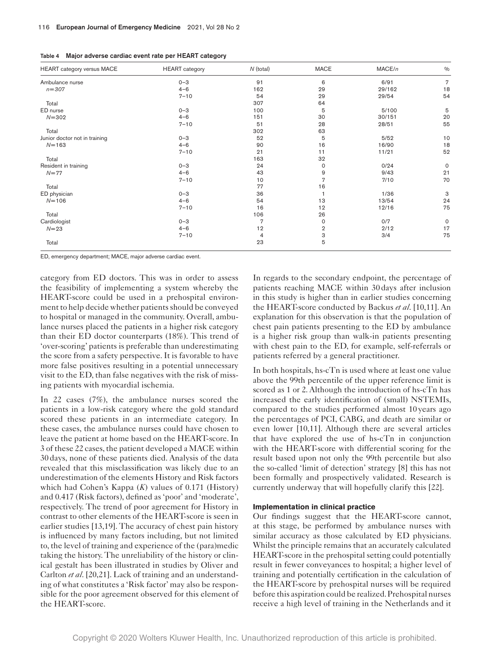|  | Table 4 Major adverse cardiac event rate per HEART category |  |  |  |  |
|--|-------------------------------------------------------------|--|--|--|--|
|--|-------------------------------------------------------------|--|--|--|--|

| <b>HEART</b> category versus MACE | <b>HEART</b> category | $N$ (total)    | <b>MACE</b>    | MACE/n | $\frac{0}{0}$  |
|-----------------------------------|-----------------------|----------------|----------------|--------|----------------|
| Ambulance nurse                   | $0 - 3$               | 91             | 6              | 6/91   | $\overline{7}$ |
| $n = 307$                         | $4 - 6$               | 162            | 29             | 29/162 | 18             |
|                                   | $7 - 10$              | 54             | 29             | 29/54  | 54             |
| Total                             |                       | 307            | 64             |        |                |
| ED nurse                          | $0 - 3$               | 100            | 5              | 5/100  | 5              |
| $N = 302$                         | $4 - 6$               | 151            | 30             | 30/151 | 20             |
|                                   | $7 - 10$              | 51             | 28             | 28/51  | 55             |
| Total                             |                       | 302            | 63             |        |                |
| Junior doctor not in training     | $0 - 3$               | 52             | 5              | $5/52$ | 10             |
| $N = 163$                         | $4 - 6$               | 90             | 16             | 16/90  | 18             |
|                                   | $7 - 10$              | 21             | 11             | 11/21  | 52             |
| Total                             |                       | 163            | 32             |        |                |
| Resident in training              | $0 - 3$               | 24             | 0              | 0/24   | $\mathsf{O}$   |
| $N=77$                            | $4 - 6$               | 43             | 9              | 9/43   | 21             |
|                                   | $7 - 10$              | 10             | 7              | 7/10   | 70             |
| Total                             |                       | 77             | 16             |        |                |
| ED physician                      | $0 - 3$               | 36             |                | 1/36   | 3              |
| $N = 106$                         | $4 - 6$               | 54             | 13             | 13/54  | 24             |
|                                   | $7 - 10$              | 16             | 12             | 12/16  | 75             |
| Total                             |                       | 106            | 26             |        |                |
| Cardiologist                      | $0 - 3$               | $\overline{7}$ | 0              | 0/7    | $\mathbf 0$    |
| $N = 23$                          | $4 - 6$               | 12             | $\overline{2}$ | 2/12   | 17             |
|                                   | $7 - 10$              | 4              | 3              | 3/4    | 75             |
| Total                             |                       | 23             | 5              |        |                |

ED, emergency department; MACE, major adverse cardiac event.

category from ED doctors. This was in order to assess the feasibility of implementing a system whereby the HEART-score could be used in a prehospital environment to help decide whether patients should be conveyed to hospital or managed in the community. Overall, ambulance nurses placed the patients in a higher risk category than their ED doctor counterparts (18%). This trend of 'over-scoring' patients is preferable than underestimating the score from a safety perspective. It is favorable to have more false positives resulting in a potential unnecessary visit to the ED, than false negatives with the risk of missing patients with myocardial ischemia.

In 22 cases (7%), the ambulance nurses scored the patients in a low-risk category where the gold standard scored these patients in an intermediate category. In these cases, the ambulance nurses could have chosen to leave the patient at home based on the HEART-score. In 3 of these 22 cases, the patient developed a MACE within 30days, none of these patients died. Analysis of the data revealed that this misclassification was likely due to an underestimation of the elements History and Risk factors which had Cohen's Kappa (*K*) values of 0.171 (History) and 0.417 (Risk factors), defined as 'poor' and 'moderate', respectively. The trend of poor agreement for History in contrast to other elements of the HEART-score is seen in earlier studies [13,19]. The accuracy of chest pain history is influenced by many factors including, but not limited to, the level of training and experience of the (para)medic taking the history. The unreliability of the history or clinical gestalt has been illustrated in studies by Oliver and Carlton *et al*. [20,21]. Lack of training and an understanding of what constitutes a 'Risk factor' may also be responsible for the poor agreement observed for this element of the HEART-score.

In regards to the secondary endpoint, the percentage of patients reaching MACE within 30days after inclusion in this study is higher than in earlier studies concerning the HEART-score conducted by Backus *et al*. [10,11]. An explanation for this observation is that the population of chest pain patients presenting to the ED by ambulance is a higher risk group than walk-in patients presenting with chest pain to the ED, for example, self-referrals or patients referred by a general practitioner.

In both hospitals, hs-cTn is used where at least one value above the 99th percentile of the upper reference limit is scored as 1 or 2. Although the introduction of hs-cTn has increased the early identification of (small) NSTEMIs, compared to the studies performed almost 10years ago the percentages of PCI, CABG, and death are similar or even lower [10,11]. Although there are several articles that have explored the use of hs-cTn in conjunction with the HEART-score with differential scoring for the result based upon not only the 99th percentile but also the so-called 'limit of detection' strategy [8] this has not been formally and prospectively validated. Research is currently underway that will hopefully clarify this [22].

## **Implementation in clinical practice**

Our findings suggest that the HEART-score cannot, at this stage, be performed by ambulance nurses with similar accuracy as those calculated by ED physicians. Whilst the principle remains that an accurately calculated HEART-score in the prehospital setting could potentially result in fewer conveyances to hospital; a higher level of training and potentially certification in the calculation of the HEART-score by prehospital nurses will be required before this aspiration could be realized. Prehospital nurses receive a high level of training in the Netherlands and it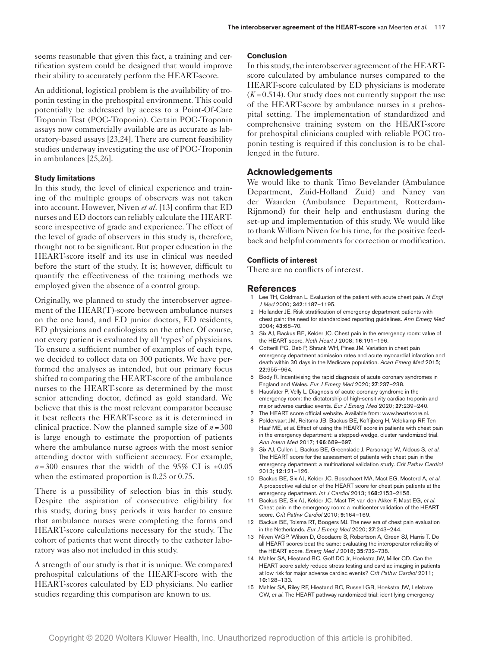seems reasonable that given this fact, a training and certification system could be designed that would improve their ability to accurately perform the HEART-score.

An additional, logistical problem is the availability of troponin testing in the prehospital environment. This could potentially be addressed by access to a Point-Of-Care Troponin Test (POC-Troponin). Certain POC-Troponin assays now commercially available are as accurate as laboratory-based assays [23,24]. There are current feasibility studies underway investigating the use of POC-Troponin in ambulances [25,26].

# **Study limitations**

In this study, the level of clinical experience and training of the multiple groups of observers was not taken into account. However, Niven *et al*. [13] confirm that ED nurses and ED doctors can reliably calculate the HEARTscore irrespective of grade and experience. The effect of the level of grade of observers in this study is, therefore, thought not to be significant. But proper education in the HEART-score itself and its use in clinical was needed before the start of the study. It is; however, difficult to quantify the effectiveness of the training methods we employed given the absence of a control group.

Originally, we planned to study the interobserver agreement of the HEAR(T)-score between ambulance nurses on the one hand, and ED junior doctors, ED residents, ED physicians and cardiologists on the other. Of course, not every patient is evaluated by all 'types' of physicians. To ensure a sufficient number of examples of each type, we decided to collect data on 300 patients. We have performed the analyses as intended, but our primary focus shifted to comparing the HEART-score of the ambulance nurses to the HEART-score as determined by the most senior attending doctor, defined as gold standard. We believe that this is the most relevant comparator because it best reflects the HEART-score as it is determined in clinical practice. Now the planned sample size of  $n = 300$ is large enough to estimate the proportion of patients where the ambulance nurse agrees with the most senior attending doctor with sufficient accuracy. For example,  $n=300$  ensures that the width of the 95% CI is  $\pm 0.05$ when the estimated proportion is 0.25 or 0.75.

There is a possibility of selection bias in this study. Despite the aspiration of consecutive eligibility for this study, during busy periods it was harder to ensure that ambulance nurses were completing the forms and HEART-score calculations necessary for the study. The cohort of patients that went directly to the catheter laboratory was also not included in this study.

A strength of our study is that it is unique. We compared prehospital calculations of the HEART-score with the HEART-scores calculated by ED physicians. No earlier studies regarding this comparison are known to us.

# **Conclusion**

In this study, the interobserver agreement of the HEARTscore calculated by ambulance nurses compared to the HEART-score calculated by ED physicians is moderate  $(K=0.514)$ . Our study does not currently support the use of the HEART-score by ambulance nurses in a prehospital setting. The implementation of standardized and comprehensive training system on the HEART-score for prehospital clinicians coupled with reliable POC troponin testing is required if this conclusion is to be challenged in the future.

# **Acknowledgements**

We would like to thank Timo Bevelander (Ambulance Department, Zuid-Holland Zuid) and Nancy van der Waarden (Ambulance Department, Rotterdam-Rijnmond) for their help and enthusiasm during the set-up and implementation of this study. We would like to thank William Niven for his time, for the positive feedback and helpful comments for correction or modification.

## **Conflicts of interest**

There are no conflicts of interest.

## **References**

- 1 Lee TH, Goldman L. Evaluation of the patient with acute chest pain. *N Engl J Med* 2000; 342:1187–1195.
- 2 Hollander JE. Risk stratification of emergency department patients with chest pain: the need for standardized reporting guidelines. *Ann Emerg Med* 2004; 43:68–70.
- 3 Six AJ, Backus BE, Kelder JC. Chest pain in the emergency room: value of the HEART score. *Neth Heart J* 2008; 16:191–196.
- 4 Cotterill PG, Deb P, Shrank WH, Pines JM. Variation in chest pain emergency department admission rates and acute myocardial infarction and death within 30 days in the Medicare population. *Acad Emerg Med* 2015; 22:955–964.
- 5 Body R. Incentivising the rapid diagnosis of acute coronary syndromes in England and Wales. *Eur J Emerg Med* 2020; 27:237–238.
- 6 Hausfater P, Velly L. Diagnosis of acute coronary syndrome in the emergency room: the dictatorship of high-sensitivity cardiac troponin and major adverse cardiac events. *Eur J Emerg Med* 2020; 27:239–240. 7 The HEART score official website. Available from:<www.heartscore.nl>.
- 8 Poldervaart JM, Reitsma JB, Backus BE, Koffijberg H, Veldkamp RF, Ten Haaf ME, *et al*. Effect of using the HEART score in patients with chest pain in the emergency department: a stepped-wedge, cluster randomized trial. *Ann Intern Med* 2017; 166:689–697.
- 9 Six AJ, Cullen L, Backus BE, Greenslade J, Parsonage W, Aldous S, *et al*. The HEART score for the assessment of patients with chest pain in the emergency department: a multinational validation study. *Crit Pathw Cardiol* 2013; 12:121–126.
- 10 Backus BE, Six AJ, Kelder JC, Bosschaert MA, Mast EG, Mosterd A, *et al*. A prospective validation of the HEART score for chest pain patients at the emergency department. *Int J Cardiol* 2013; 168:2153–2158.
- 11 Backus BE, Six AJ, Kelder JC, Mast TP, van den Akker F, Mast EG, *et al*. Chest pain in the emergency room: a multicenter validation of the HEART score. *Crit Pathw Cardiol* 2010; 9:164–169.
- 12 Backus BE, Tolsma RT, Boogers MJ. The new era of chest pain evaluation in the Netherlands. *Eur J Emerg Med* 2020; 27:243–244.
- 13 Niven WGP, Wilson D, Goodacre S, Robertson A, Green SJ, Harris T. Do all HEART scores beat the same: evaluating the interoperator reliability of the HEART score. *Emerg Med J* 2018; 35:732–738.
- 14 Mahler SA, Hiestand BC, Goff DC Jr, Hoekstra JW, Miller CD. Can the HEART score safely reduce stress testing and cardiac imaging in patients at low risk for major adverse cardiac events? *Crit Pathw Cardiol* 2011; 10:128–133.
- 15 Mahler SA, Riley RF, Hiestand BC, Russell GB, Hoekstra JW, Lefebvre CW, *et al*. The HEART pathway randomized trial: identifying emergency